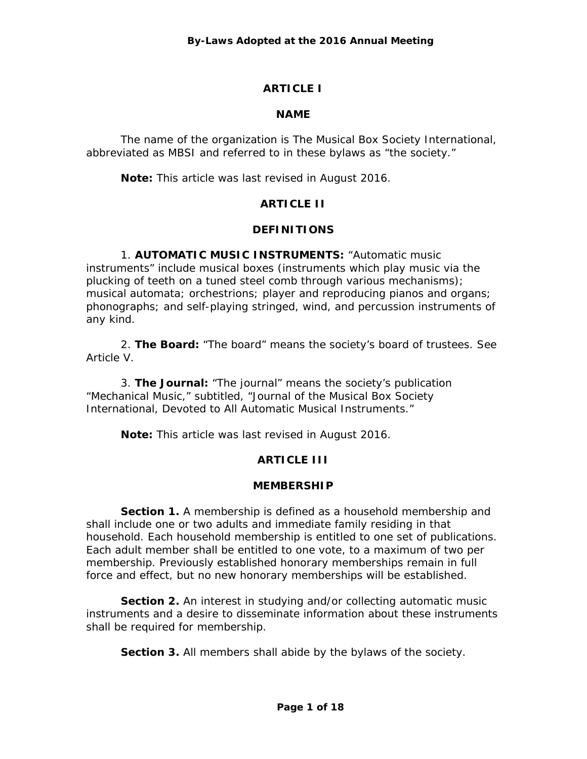# **ARTICLE I**

## **NAME**

The name of the organization is The Musical Box Society International, abbreviated as MBSI and referred to in these bylaws as "the society."

**Note:** This article was last revised in August 2016.

## **ARTICLE II**

## **DEFINITIONS**

1. **AUTOMATIC MUSIC INSTRUMENTS:** "Automatic music instruments" include musical boxes (instruments which play music via the plucking of teeth on a tuned steel comb through various mechanisms); musical automata; orchestrions; player and reproducing pianos and organs; phonographs; and self-playing stringed, wind, and percussion instruments of any kind.

2. **The Board:** "The board" means the society's board of trustees. See Article V.

3. **The Journal:** "The journal" means the society's publication "Mechanical Music," subtitled, "Journal of the Musical Box Society International, Devoted to All Automatic Musical Instruments."

**Note:** This article was last revised in August 2016.

# **ARTICLE III**

## **MEMBERSHIP**

**Section 1.** A membership is defined as a household membership and shall include one or two adults and immediate family residing in that household. Each household membership is entitled to one set of publications. Each adult member shall be entitled to one vote, to a maximum of two per membership. Previously established honorary memberships remain in full force and effect, but no new honorary memberships will be established.

**Section 2.** An interest in studying and/or collecting automatic music instruments and a desire to disseminate information about these instruments shall be required for membership.

**Section 3.** All members shall abide by the bylaws of the society.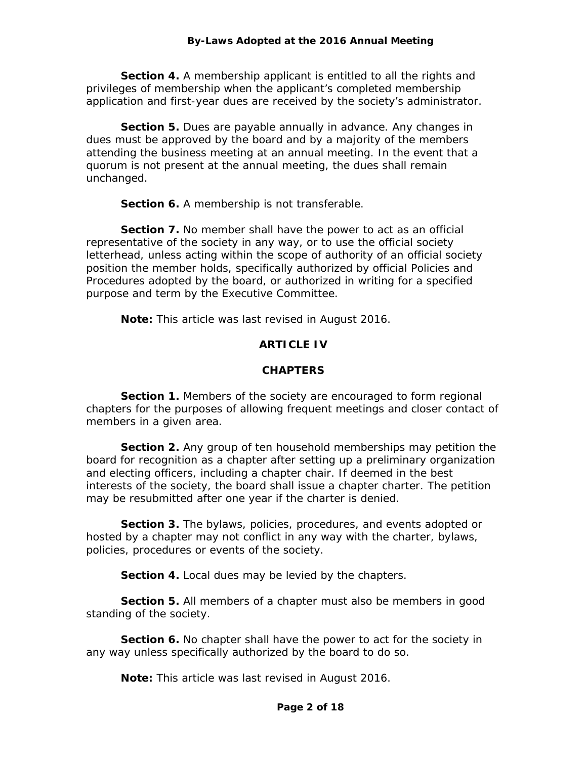**Section 4.** A membership applicant is entitled to all the rights and privileges of membership when the applicant's completed membership application and first-year dues are received by the society's administrator.

**Section 5.** Dues are payable annually in advance. Any changes in dues must be approved by the board and by a majority of the members attending the business meeting at an annual meeting. In the event that a quorum is not present at the annual meeting, the dues shall remain unchanged.

**Section 6.** A membership is not transferable.

**Section 7.** No member shall have the power to act as an official representative of the society in any way, or to use the official society letterhead, unless acting within the scope of authority of an official society position the member holds, specifically authorized by official Policies and Procedures adopted by the board, or authorized in writing for a specified purpose and term by the Executive Committee.

**Note:** This article was last revised in August 2016.

# **ARTICLE IV**

# **CHAPTERS**

**Section 1.** Members of the society are encouraged to form regional chapters for the purposes of allowing frequent meetings and closer contact of members in a given area.

**Section 2.** Any group of ten household memberships may petition the board for recognition as a chapter after setting up a preliminary organization and electing officers, including a chapter chair. If deemed in the best interests of the society, the board shall issue a chapter charter. The petition may be resubmitted after one year if the charter is denied.

**Section 3.** The bylaws, policies, procedures, and events adopted or hosted by a chapter may not conflict in any way with the charter, bylaws, policies, procedures or events of the society.

**Section 4.** Local dues may be levied by the chapters.

**Section 5.** All members of a chapter must also be members in good standing of the society.

**Section 6.** No chapter shall have the power to act for the society in any way unless specifically authorized by the board to do so.

**Note:** This article was last revised in August 2016.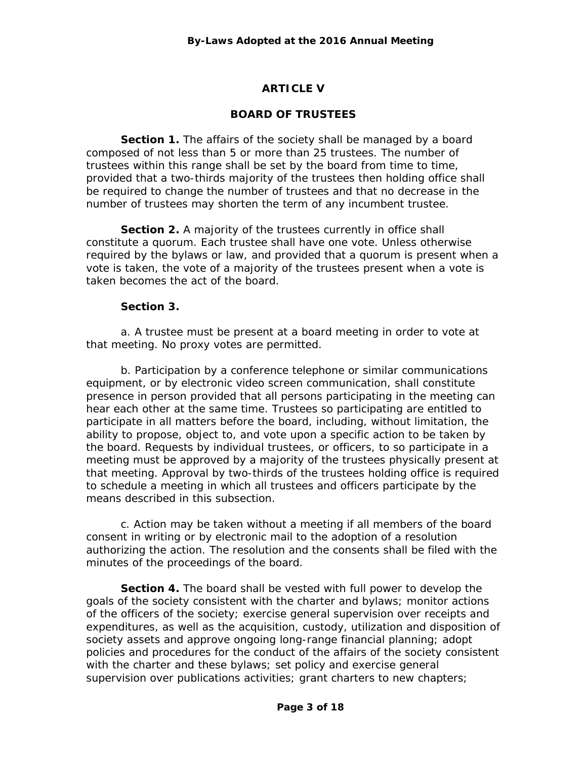# **ARTICLE V**

### **BOARD OF TRUSTEES**

**Section 1.** The affairs of the society shall be managed by a board composed of not less than 5 or more than 25 trustees. The number of trustees within this range shall be set by the board from time to time, provided that a two-thirds majority of the trustees then holding office shall be required to change the number of trustees and that no decrease in the number of trustees may shorten the term of any incumbent trustee.

**Section 2.** A majority of the trustees currently in office shall constitute a quorum. Each trustee shall have one vote. Unless otherwise required by the bylaws or law, and provided that a quorum is present when a vote is taken, the vote of a majority of the trustees present when a vote is taken becomes the act of the board.

### **Section 3.**

a. A trustee must be present at a board meeting in order to vote at that meeting. No proxy votes are permitted.

b. Participation by a conference telephone or similar communications equipment, or by electronic video screen communication, shall constitute presence in person provided that all persons participating in the meeting can hear each other at the same time. Trustees so participating are entitled to participate in all matters before the board, including, without limitation, the ability to propose, object to, and vote upon a specific action to be taken by the board. Requests by individual trustees, or officers, to so participate in a meeting must be approved by a majority of the trustees physically present at that meeting. Approval by two-thirds of the trustees holding office is required to schedule a meeting in which all trustees and officers participate by the means described in this subsection.

c. Action may be taken without a meeting if all members of the board consent in writing or by electronic mail to the adoption of a resolution authorizing the action. The resolution and the consents shall be filed with the minutes of the proceedings of the board.

**Section 4.** The board shall be vested with full power to develop the goals of the society consistent with the charter and bylaws; monitor actions of the officers of the society; exercise general supervision over receipts and expenditures, as well as the acquisition, custody, utilization and disposition of society assets and approve ongoing long-range financial planning; adopt policies and procedures for the conduct of the affairs of the society consistent with the charter and these bylaws; set policy and exercise general supervision over publications activities; grant charters to new chapters;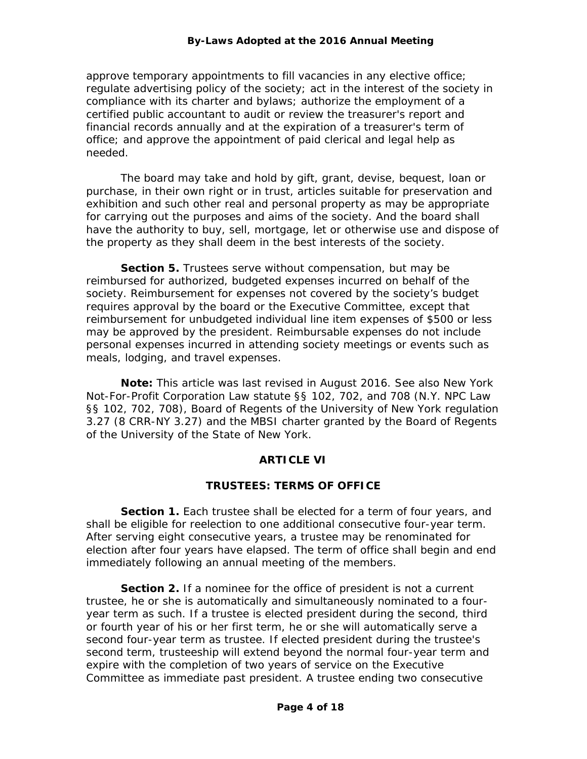approve temporary appointments to fill vacancies in any elective office; regulate advertising policy of the society; act in the interest of the society in compliance with its charter and bylaws; authorize the employment of a certified public accountant to audit or review the treasurer's report and financial records annually and at the expiration of a treasurer's term of office; and approve the appointment of paid clerical and legal help as needed.

The board may take and hold by gift, grant, devise, bequest, loan or purchase, in their own right or in trust, articles suitable for preservation and exhibition and such other real and personal property as may be appropriate for carrying out the purposes and aims of the society. And the board shall have the authority to buy, sell, mortgage, let or otherwise use and dispose of the property as they shall deem in the best interests of the society.

Section 5. Trustees serve without compensation, but may be reimbursed for authorized, budgeted expenses incurred on behalf of the society. Reimbursement for expenses not covered by the society's budget requires approval by the board or the Executive Committee, except that reimbursement for unbudgeted individual line item expenses of \$500 or less may be approved by the president. Reimbursable expenses do not include personal expenses incurred in attending society meetings or events such as meals, lodging, and travel expenses.

**Note:** This article was last revised in August 2016. See also New York Not-For-Profit Corporation Law statute §§ 102, 702, and 708 (N.Y. NPC Law §§ 102, 702, 708), Board of Regents of the University of New York regulation 3.27 (8 CRR-NY 3.27) and the MBSI charter granted by the Board of Regents of the University of the State of New York.

## **ARTICLE VI**

### **TRUSTEES: TERMS OF OFFICE**

**Section 1.** Each trustee shall be elected for a term of four years, and shall be eligible for reelection to one additional consecutive four-year term. After serving eight consecutive years, a trustee may be renominated for election after four years have elapsed. The term of office shall begin and end immediately following an annual meeting of the members.

**Section 2.** If a nominee for the office of president is not a current trustee, he or she is automatically and simultaneously nominated to a fouryear term as such. If a trustee is elected president during the second, third or fourth year of his or her first term, he or she will automatically serve a second four-year term as trustee. If elected president during the trustee's second term, trusteeship will extend beyond the normal four-year term and expire with the completion of two years of service on the Executive Committee as immediate past president. A trustee ending two consecutive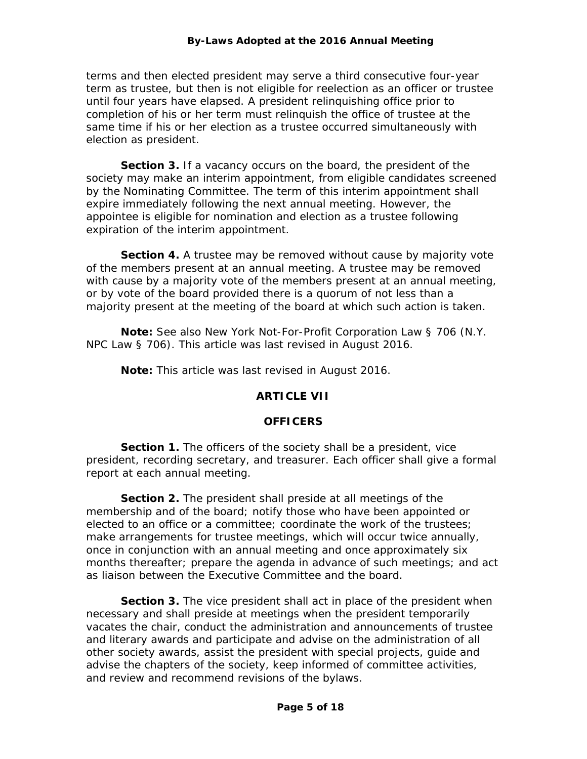terms and then elected president may serve a third consecutive four-year term as trustee, but then is not eligible for reelection as an officer or trustee until four years have elapsed. A president relinquishing office prior to completion of his or her term must relinquish the office of trustee at the same time if his or her election as a trustee occurred simultaneously with election as president.

**Section 3.** If a vacancy occurs on the board, the president of the society may make an interim appointment, from eligible candidates screened by the Nominating Committee. The term of this interim appointment shall expire immediately following the next annual meeting. However, the appointee is eligible for nomination and election as a trustee following expiration of the interim appointment.

**Section 4.** A trustee may be removed without cause by majority vote of the members present at an annual meeting. A trustee may be removed with cause by a majority vote of the members present at an annual meeting, or by vote of the board provided there is a quorum of not less than a majority present at the meeting of the board at which such action is taken.

**Note:** See also New York Not-For-Profit Corporation Law § 706 (N.Y. NPC Law § 706). This article was last revised in August 2016.

**Note:** This article was last revised in August 2016.

## **ARTICLE VII**

### **OFFICERS**

**Section 1.** The officers of the society shall be a president, vice president, recording secretary, and treasurer. Each officer shall give a formal report at each annual meeting.

**Section 2.** The president shall preside at all meetings of the membership and of the board; notify those who have been appointed or elected to an office or a committee; coordinate the work of the trustees; make arrangements for trustee meetings, which will occur twice annually, once in conjunction with an annual meeting and once approximately six months thereafter; prepare the agenda in advance of such meetings; and act as liaison between the Executive Committee and the board.

**Section 3.** The vice president shall act in place of the president when necessary and shall preside at meetings when the president temporarily vacates the chair, conduct the administration and announcements of trustee and literary awards and participate and advise on the administration of all other society awards, assist the president with special projects, guide and advise the chapters of the society, keep informed of committee activities, and review and recommend revisions of the bylaws.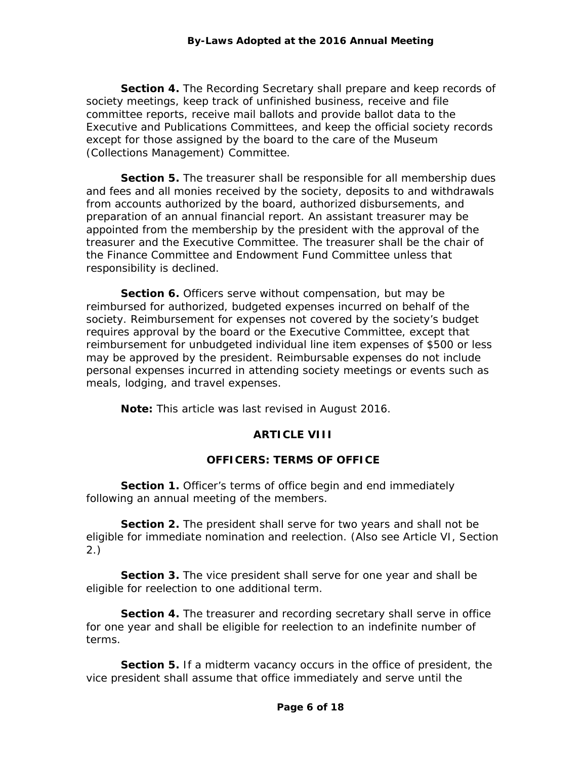**Section 4.** The Recording Secretary shall prepare and keep records of society meetings, keep track of unfinished business, receive and file committee reports, receive mail ballots and provide ballot data to the Executive and Publications Committees, and keep the official society records except for those assigned by the board to the care of the Museum (Collections Management) Committee.

**Section 5.** The treasurer shall be responsible for all membership dues and fees and all monies received by the society, deposits to and withdrawals from accounts authorized by the board, authorized disbursements, and preparation of an annual financial report. An assistant treasurer may be appointed from the membership by the president with the approval of the treasurer and the Executive Committee. The treasurer shall be the chair of the Finance Committee and Endowment Fund Committee unless that responsibility is declined.

**Section 6.** Officers serve without compensation, but may be reimbursed for authorized, budgeted expenses incurred on behalf of the society. Reimbursement for expenses not covered by the society's budget requires approval by the board or the Executive Committee, except that reimbursement for unbudgeted individual line item expenses of \$500 or less may be approved by the president. Reimbursable expenses do not include personal expenses incurred in attending society meetings or events such as meals, lodging, and travel expenses.

**Note:** This article was last revised in August 2016.

## **ARTICLE VIII**

## **OFFICERS: TERMS OF OFFICE**

**Section 1.** Officer's terms of office begin and end immediately following an annual meeting of the members.

**Section 2.** The president shall serve for two years and shall not be eligible for immediate nomination and reelection. (Also see Article VI, Section 2.)

**Section 3.** The vice president shall serve for one year and shall be eligible for reelection to one additional term.

**Section 4.** The treasurer and recording secretary shall serve in office for one year and shall be eligible for reelection to an indefinite number of terms.

**Section 5.** If a midterm vacancy occurs in the office of president, the vice president shall assume that office immediately and serve until the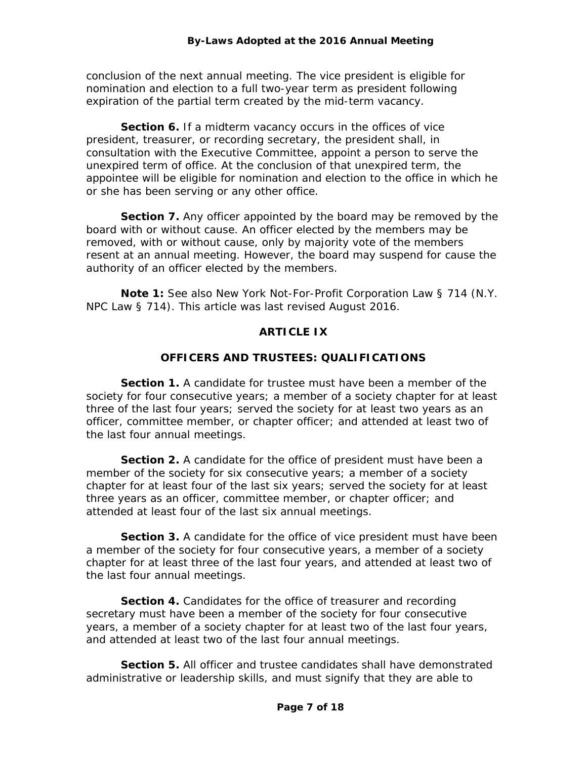conclusion of the next annual meeting. The vice president is eligible for nomination and election to a full two-year term as president following expiration of the partial term created by the mid-term vacancy.

**Section 6.** If a midterm vacancy occurs in the offices of vice president, treasurer, or recording secretary, the president shall, in consultation with the Executive Committee, appoint a person to serve the unexpired term of office. At the conclusion of that unexpired term, the appointee will be eligible for nomination and election to the office in which he or she has been serving or any other office.

**Section 7.** Any officer appointed by the board may be removed by the board with or without cause. An officer elected by the members may be removed, with or without cause, only by majority vote of the members resent at an annual meeting. However, the board may suspend for cause the authority of an officer elected by the members.

**Note 1:** See also New York Not-For-Profit Corporation Law § 714 (N.Y. NPC Law § 714). This article was last revised August 2016.

# **ARTICLE IX**

# **OFFICERS AND TRUSTEES: QUALIFICATIONS**

**Section 1.** A candidate for trustee must have been a member of the society for four consecutive years; a member of a society chapter for at least three of the last four years; served the society for at least two years as an officer, committee member, or chapter officer; and attended at least two of the last four annual meetings.

**Section 2.** A candidate for the office of president must have been a member of the society for six consecutive years; a member of a society chapter for at least four of the last six years; served the society for at least three years as an officer, committee member, or chapter officer; and attended at least four of the last six annual meetings.

Section 3. A candidate for the office of vice president must have been a member of the society for four consecutive years, a member of a society chapter for at least three of the last four years, and attended at least two of the last four annual meetings.

**Section 4.** Candidates for the office of treasurer and recording secretary must have been a member of the society for four consecutive years, a member of a society chapter for at least two of the last four years, and attended at least two of the last four annual meetings.

**Section 5.** All officer and trustee candidates shall have demonstrated administrative or leadership skills, and must signify that they are able to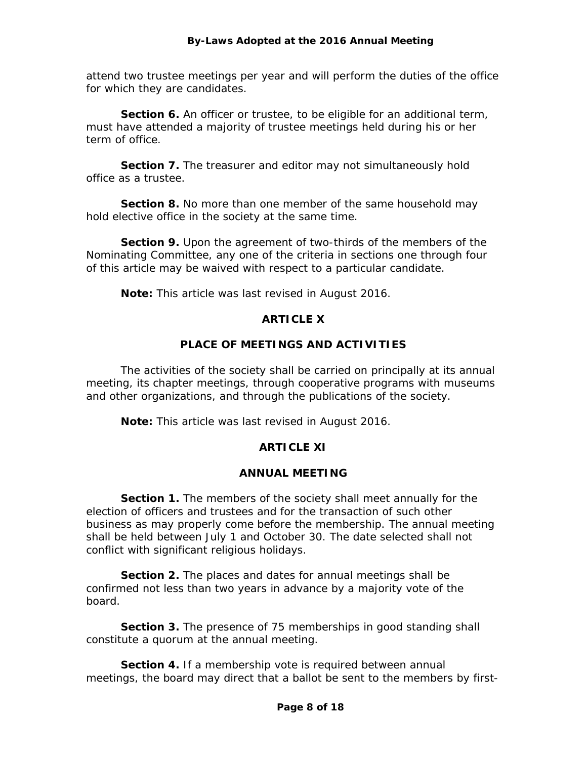attend two trustee meetings per year and will perform the duties of the office for which they are candidates.

**Section 6.** An officer or trustee, to be eligible for an additional term, must have attended a majority of trustee meetings held during his or her term of office.

**Section 7.** The treasurer and editor may not simultaneously hold office as a trustee.

**Section 8.** No more than one member of the same household may hold elective office in the society at the same time.

**Section 9.** Upon the agreement of two-thirds of the members of the Nominating Committee, any one of the criteria in sections one through four of this article may be waived with respect to a particular candidate.

**Note:** This article was last revised in August 2016.

# **ARTICLE X**

## **PLACE OF MEETINGS AND ACTIVITIES**

The activities of the society shall be carried on principally at its annual meeting, its chapter meetings, through cooperative programs with museums and other organizations, and through the publications of the society.

**Note:** This article was last revised in August 2016.

# **ARTICLE XI**

## **ANNUAL MEETING**

**Section 1.** The members of the society shall meet annually for the election of officers and trustees and for the transaction of such other business as may properly come before the membership. The annual meeting shall be held between July 1 and October 30. The date selected shall not conflict with significant religious holidays.

**Section 2.** The places and dates for annual meetings shall be confirmed not less than two years in advance by a majority vote of the board.

**Section 3.** The presence of 75 memberships in good standing shall constitute a quorum at the annual meeting.

**Section 4.** If a membership vote is required between annual meetings, the board may direct that a ballot be sent to the members by first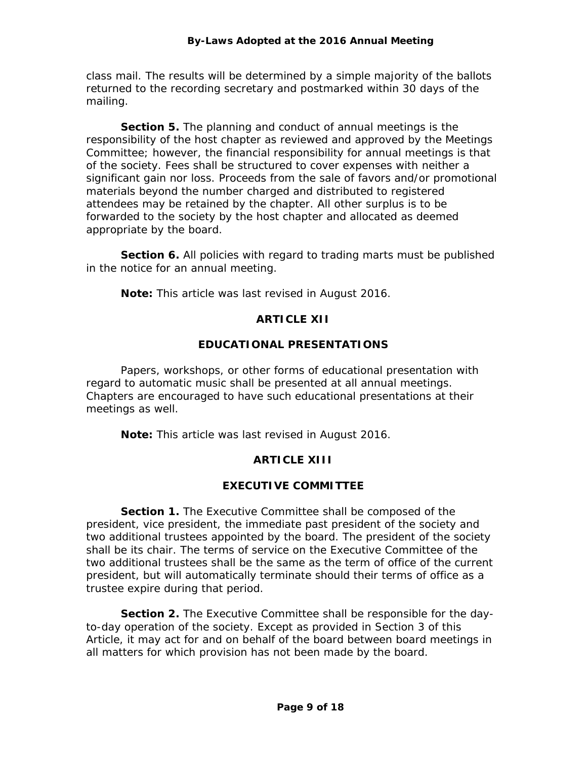class mail. The results will be determined by a simple majority of the ballots returned to the recording secretary and postmarked within 30 days of the mailing.

**Section 5.** The planning and conduct of annual meetings is the responsibility of the host chapter as reviewed and approved by the Meetings Committee; however, the financial responsibility for annual meetings is that of the society. Fees shall be structured to cover expenses with neither a significant gain nor loss. Proceeds from the sale of favors and/or promotional materials beyond the number charged and distributed to registered attendees may be retained by the chapter. All other surplus is to be forwarded to the society by the host chapter and allocated as deemed appropriate by the board.

**Section 6.** All policies with regard to trading marts must be published in the notice for an annual meeting.

**Note:** This article was last revised in August 2016.

# **ARTICLE XII**

# **EDUCATIONAL PRESENTATIONS**

Papers, workshops, or other forms of educational presentation with regard to automatic music shall be presented at all annual meetings. Chapters are encouraged to have such educational presentations at their meetings as well.

**Note:** This article was last revised in August 2016.

# **ARTICLE XIII**

# **EXECUTIVE COMMITTEE**

**Section 1.** The Executive Committee shall be composed of the president, vice president, the immediate past president of the society and two additional trustees appointed by the board. The president of the society shall be its chair. The terms of service on the Executive Committee of the two additional trustees shall be the same as the term of office of the current president, but will automatically terminate should their terms of office as a trustee expire during that period.

**Section 2.** The Executive Committee shall be responsible for the dayto-day operation of the society. Except as provided in Section 3 of this Article, it may act for and on behalf of the board between board meetings in all matters for which provision has not been made by the board.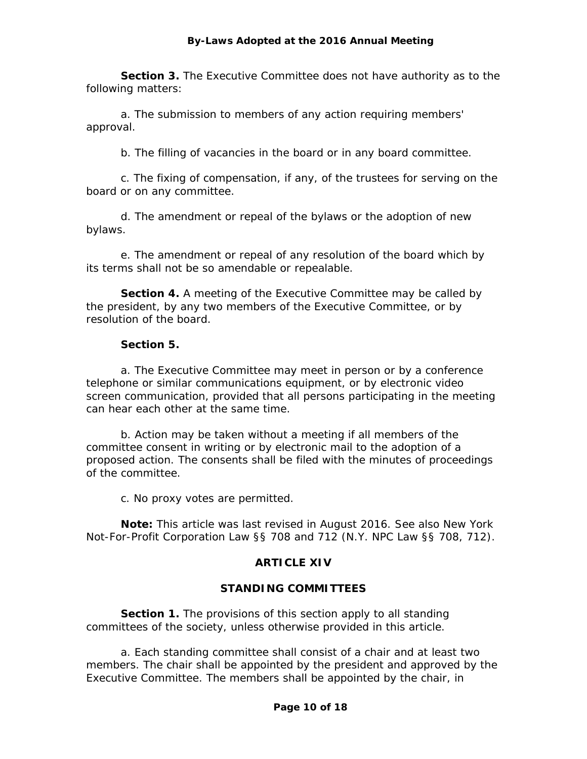**Section 3.** The Executive Committee does not have authority as to the following matters:

a. The submission to members of any action requiring members' approval.

b. The filling of vacancies in the board or in any board committee.

c. The fixing of compensation, if any, of the trustees for serving on the board or on any committee.

d. The amendment or repeal of the bylaws or the adoption of new bylaws.

e. The amendment or repeal of any resolution of the board which by its terms shall not be so amendable or repealable.

**Section 4.** A meeting of the Executive Committee may be called by the president, by any two members of the Executive Committee, or by resolution of the board.

## **Section 5.**

a. The Executive Committee may meet in person or by a conference telephone or similar communications equipment, or by electronic video screen communication, provided that all persons participating in the meeting can hear each other at the same time.

b. Action may be taken without a meeting if all members of the committee consent in writing or by electronic mail to the adoption of a proposed action. The consents shall be filed with the minutes of proceedings of the committee.

c. No proxy votes are permitted.

**Note:** This article was last revised in August 2016. See also New York Not-For-Profit Corporation Law §§ 708 and 712 (N.Y. NPC Law §§ 708, 712).

# **ARTICLE XIV**

# **STANDING COMMITTEES**

**Section 1.** The provisions of this section apply to all standing committees of the society, unless otherwise provided in this article.

a. Each standing committee shall consist of a chair and at least two members. The chair shall be appointed by the president and approved by the Executive Committee. The members shall be appointed by the chair, in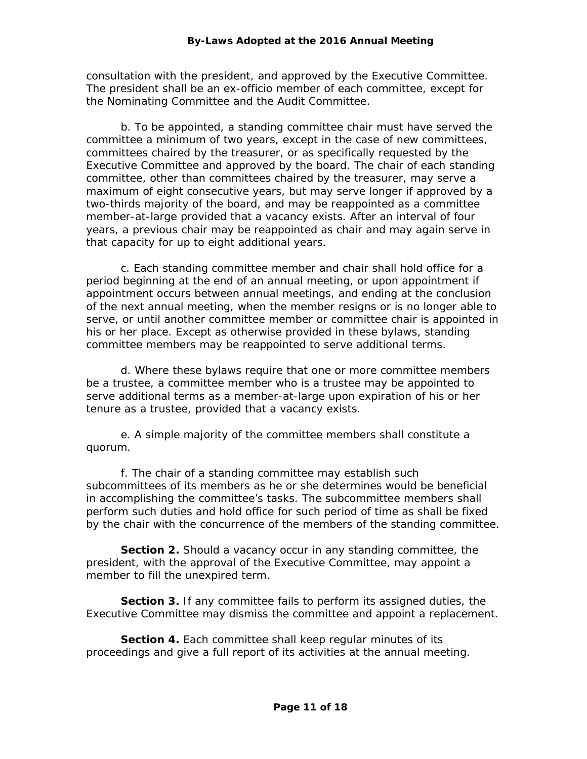consultation with the president, and approved by the Executive Committee. The president shall be an ex-officio member of each committee, except for the Nominating Committee and the Audit Committee.

b. To be appointed, a standing committee chair must have served the committee a minimum of two years, except in the case of new committees, committees chaired by the treasurer, or as specifically requested by the Executive Committee and approved by the board. The chair of each standing committee, other than committees chaired by the treasurer, may serve a maximum of eight consecutive years, but may serve longer if approved by a two-thirds majority of the board, and may be reappointed as a committee member-at-large provided that a vacancy exists. After an interval of four years, a previous chair may be reappointed as chair and may again serve in that capacity for up to eight additional years.

c. Each standing committee member and chair shall hold office for a period beginning at the end of an annual meeting, or upon appointment if appointment occurs between annual meetings, and ending at the conclusion of the next annual meeting, when the member resigns or is no longer able to serve, or until another committee member or committee chair is appointed in his or her place. Except as otherwise provided in these bylaws, standing committee members may be reappointed to serve additional terms.

d. Where these bylaws require that one or more committee members be a trustee, a committee member who is a trustee may be appointed to serve additional terms as a member-at-large upon expiration of his or her tenure as a trustee, provided that a vacancy exists.

e. A simple majority of the committee members shall constitute a quorum.

f. The chair of a standing committee may establish such subcommittees of its members as he or she determines would be beneficial in accomplishing the committee's tasks. The subcommittee members shall perform such duties and hold office for such period of time as shall be fixed by the chair with the concurrence of the members of the standing committee.

**Section 2.** Should a vacancy occur in any standing committee, the president, with the approval of the Executive Committee, may appoint a member to fill the unexpired term.

**Section 3.** If any committee fails to perform its assigned duties, the Executive Committee may dismiss the committee and appoint a replacement.

**Section 4.** Each committee shall keep regular minutes of its proceedings and give a full report of its activities at the annual meeting.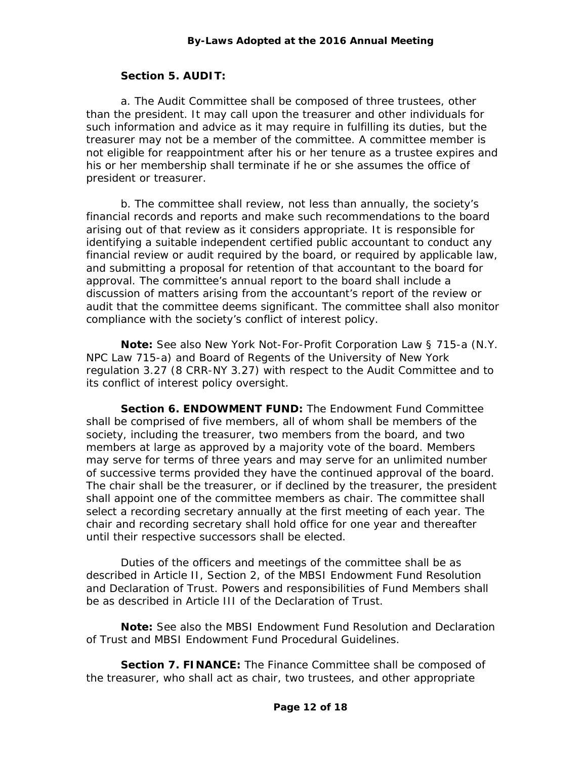# **Section 5. AUDIT:**

a. The Audit Committee shall be composed of three trustees, other than the president. It may call upon the treasurer and other individuals for such information and advice as it may require in fulfilling its duties, but the treasurer may not be a member of the committee. A committee member is not eligible for reappointment after his or her tenure as a trustee expires and his or her membership shall terminate if he or she assumes the office of president or treasurer.

b. The committee shall review, not less than annually, the society's financial records and reports and make such recommendations to the board arising out of that review as it considers appropriate. It is responsible for identifying a suitable independent certified public accountant to conduct any financial review or audit required by the board, or required by applicable law, and submitting a proposal for retention of that accountant to the board for approval. The committee's annual report to the board shall include a discussion of matters arising from the accountant's report of the review or audit that the committee deems significant. The committee shall also monitor compliance with the society's conflict of interest policy.

**Note:** See also New York Not-For-Profit Corporation Law § 715-a (N.Y. NPC Law 715-a) and Board of Regents of the University of New York regulation 3.27 (8 CRR-NY 3.27) with respect to the Audit Committee and to its conflict of interest policy oversight.

**Section 6. ENDOWMENT FUND:** The Endowment Fund Committee shall be comprised of five members, all of whom shall be members of the society, including the treasurer, two members from the board, and two members at large as approved by a majority vote of the board. Members may serve for terms of three years and may serve for an unlimited number of successive terms provided they have the continued approval of the board. The chair shall be the treasurer, or if declined by the treasurer, the president shall appoint one of the committee members as chair. The committee shall select a recording secretary annually at the first meeting of each year. The chair and recording secretary shall hold office for one year and thereafter until their respective successors shall be elected.

Duties of the officers and meetings of the committee shall be as described in Article II, Section 2, of the MBSI Endowment Fund Resolution and Declaration of Trust. Powers and responsibilities of Fund Members shall be as described in Article III of the Declaration of Trust.

**Note:** See also the MBSI Endowment Fund Resolution and Declaration of Trust and MBSI Endowment Fund Procedural Guidelines.

**Section 7. FINANCE:** The Finance Committee shall be composed of the treasurer, who shall act as chair, two trustees, and other appropriate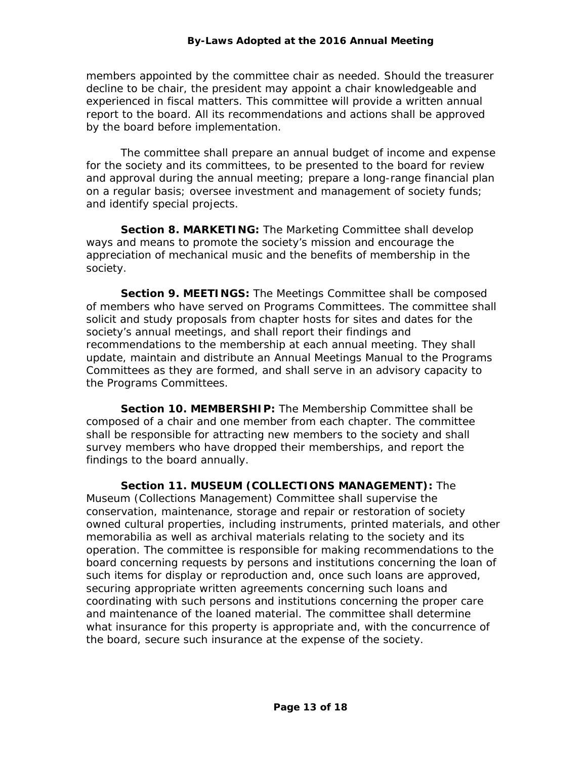members appointed by the committee chair as needed. Should the treasurer decline to be chair, the president may appoint a chair knowledgeable and experienced in fiscal matters. This committee will provide a written annual report to the board. All its recommendations and actions shall be approved by the board before implementation.

The committee shall prepare an annual budget of income and expense for the society and its committees, to be presented to the board for review and approval during the annual meeting; prepare a long-range financial plan on a regular basis; oversee investment and management of society funds; and identify special projects.

**Section 8. MARKETING:** The Marketing Committee shall develop ways and means to promote the society's mission and encourage the appreciation of mechanical music and the benefits of membership in the society.

**Section 9. MEETINGS:** The Meetings Committee shall be composed of members who have served on Programs Committees. The committee shall solicit and study proposals from chapter hosts for sites and dates for the society's annual meetings, and shall report their findings and recommendations to the membership at each annual meeting. They shall update, maintain and distribute an Annual Meetings Manual to the Programs Committees as they are formed, and shall serve in an advisory capacity to the Programs Committees.

**Section 10. MEMBERSHIP:** The Membership Committee shall be composed of a chair and one member from each chapter. The committee shall be responsible for attracting new members to the society and shall survey members who have dropped their memberships, and report the findings to the board annually.

**Section 11. MUSEUM (COLLECTIONS MANAGEMENT):** The Museum (Collections Management) Committee shall supervise the conservation, maintenance, storage and repair or restoration of society owned cultural properties, including instruments, printed materials, and other memorabilia as well as archival materials relating to the society and its operation. The committee is responsible for making recommendations to the board concerning requests by persons and institutions concerning the loan of such items for display or reproduction and, once such loans are approved, securing appropriate written agreements concerning such loans and coordinating with such persons and institutions concerning the proper care and maintenance of the loaned material. The committee shall determine what insurance for this property is appropriate and, with the concurrence of the board, secure such insurance at the expense of the society.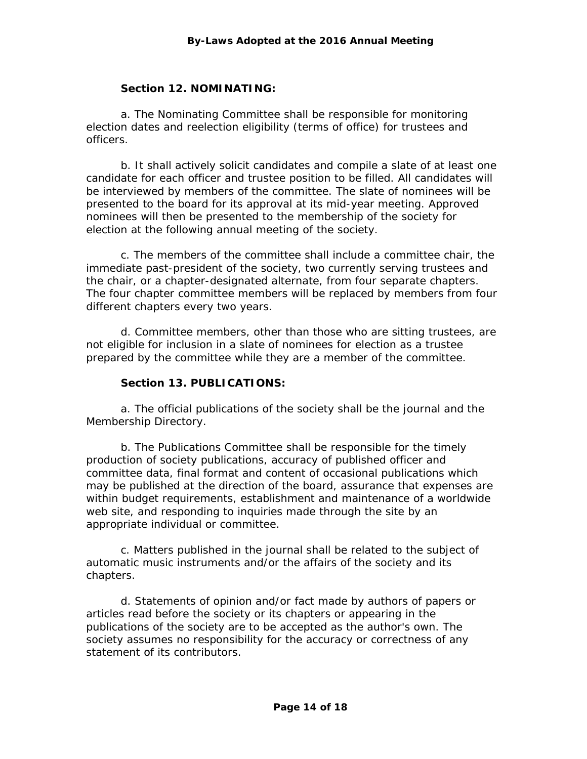## **Section 12. NOMINATING:**

a. The Nominating Committee shall be responsible for monitoring election dates and reelection eligibility (terms of office) for trustees and officers.

b. It shall actively solicit candidates and compile a slate of at least one candidate for each officer and trustee position to be filled. All candidates will be interviewed by members of the committee. The slate of nominees will be presented to the board for its approval at its mid-year meeting. Approved nominees will then be presented to the membership of the society for election at the following annual meeting of the society.

c. The members of the committee shall include a committee chair, the immediate past-president of the society, two currently serving trustees and the chair, or a chapter-designated alternate, from four separate chapters. The four chapter committee members will be replaced by members from four different chapters every two years.

d. Committee members, other than those who are sitting trustees, are not eligible for inclusion in a slate of nominees for election as a trustee prepared by the committee while they are a member of the committee.

### **Section 13. PUBLICATIONS:**

a. The official publications of the society shall be the journal and the Membership Directory.

b. The Publications Committee shall be responsible for the timely production of society publications, accuracy of published officer and committee data, final format and content of occasional publications which may be published at the direction of the board, assurance that expenses are within budget requirements, establishment and maintenance of a worldwide web site, and responding to inquiries made through the site by an appropriate individual or committee.

c. Matters published in the journal shall be related to the subject of automatic music instruments and/or the affairs of the society and its chapters.

d. Statements of opinion and/or fact made by authors of papers or articles read before the society or its chapters or appearing in the publications of the society are to be accepted as the author's own. The society assumes no responsibility for the accuracy or correctness of any statement of its contributors.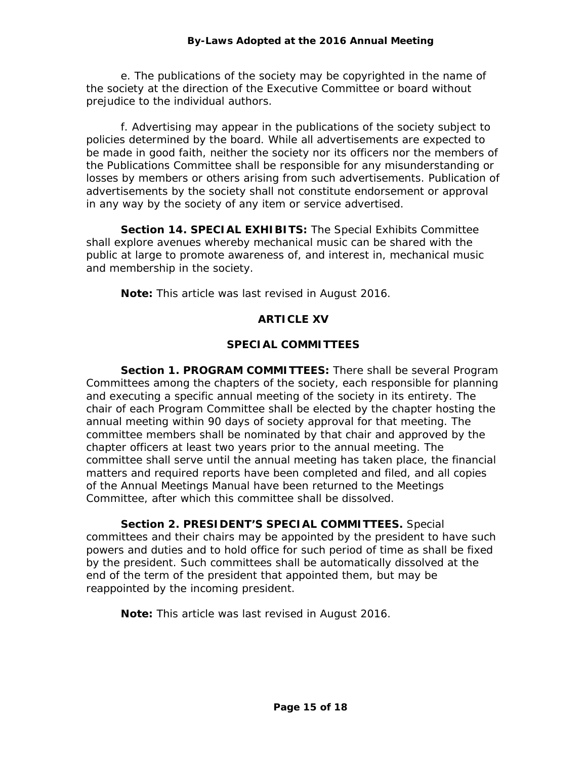e. The publications of the society may be copyrighted in the name of the society at the direction of the Executive Committee or board without prejudice to the individual authors.

f. Advertising may appear in the publications of the society subject to policies determined by the board. While all advertisements are expected to be made in good faith, neither the society nor its officers nor the members of the Publications Committee shall be responsible for any misunderstanding or losses by members or others arising from such advertisements. Publication of advertisements by the society shall not constitute endorsement or approval in any way by the society of any item or service advertised.

**Section 14. SPECIAL EXHIBITS:** The Special Exhibits Committee shall explore avenues whereby mechanical music can be shared with the public at large to promote awareness of, and interest in, mechanical music and membership in the society.

**Note:** This article was last revised in August 2016.

# **ARTICLE XV**

## **SPECIAL COMMITTEES**

**Section 1. PROGRAM COMMITTEES:** There shall be several Program Committees among the chapters of the society, each responsible for planning and executing a specific annual meeting of the society in its entirety. The chair of each Program Committee shall be elected by the chapter hosting the annual meeting within 90 days of society approval for that meeting. The committee members shall be nominated by that chair and approved by the chapter officers at least two years prior to the annual meeting. The committee shall serve until the annual meeting has taken place, the financial matters and required reports have been completed and filed, and all copies of the Annual Meetings Manual have been returned to the Meetings Committee, after which this committee shall be dissolved.

**Section 2. PRESIDENT'S SPECIAL COMMITTEES.** Special committees and their chairs may be appointed by the president to have such powers and duties and to hold office for such period of time as shall be fixed by the president. Such committees shall be automatically dissolved at the end of the term of the president that appointed them, but may be reappointed by the incoming president.

**Note:** This article was last revised in August 2016.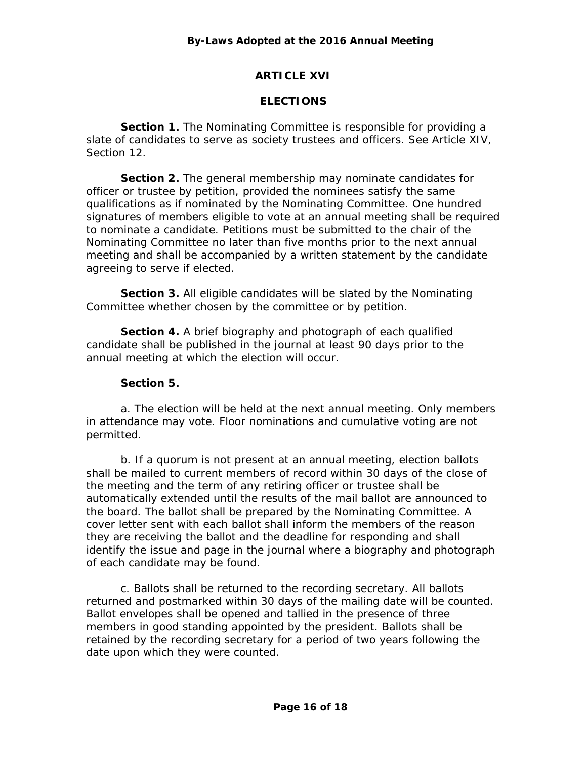# **ARTICLE XVI**

## **ELECTIONS**

**Section 1.** The Nominating Committee is responsible for providing a slate of candidates to serve as society trustees and officers. See Article XIV, Section 12.

**Section 2.** The general membership may nominate candidates for officer or trustee by petition, provided the nominees satisfy the same qualifications as if nominated by the Nominating Committee. One hundred signatures of members eligible to vote at an annual meeting shall be required to nominate a candidate. Petitions must be submitted to the chair of the Nominating Committee no later than five months prior to the next annual meeting and shall be accompanied by a written statement by the candidate agreeing to serve if elected.

**Section 3.** All eligible candidates will be slated by the Nominating Committee whether chosen by the committee or by petition.

**Section 4.** A brief biography and photograph of each qualified candidate shall be published in the journal at least 90 days prior to the annual meeting at which the election will occur.

### **Section 5.**

a. The election will be held at the next annual meeting. Only members in attendance may vote. Floor nominations and cumulative voting are not permitted.

b. If a quorum is not present at an annual meeting, election ballots shall be mailed to current members of record within 30 days of the close of the meeting and the term of any retiring officer or trustee shall be automatically extended until the results of the mail ballot are announced to the board. The ballot shall be prepared by the Nominating Committee. A cover letter sent with each ballot shall inform the members of the reason they are receiving the ballot and the deadline for responding and shall identify the issue and page in the journal where a biography and photograph of each candidate may be found.

c. Ballots shall be returned to the recording secretary. All ballots returned and postmarked within 30 days of the mailing date will be counted. Ballot envelopes shall be opened and tallied in the presence of three members in good standing appointed by the president. Ballots shall be retained by the recording secretary for a period of two years following the date upon which they were counted.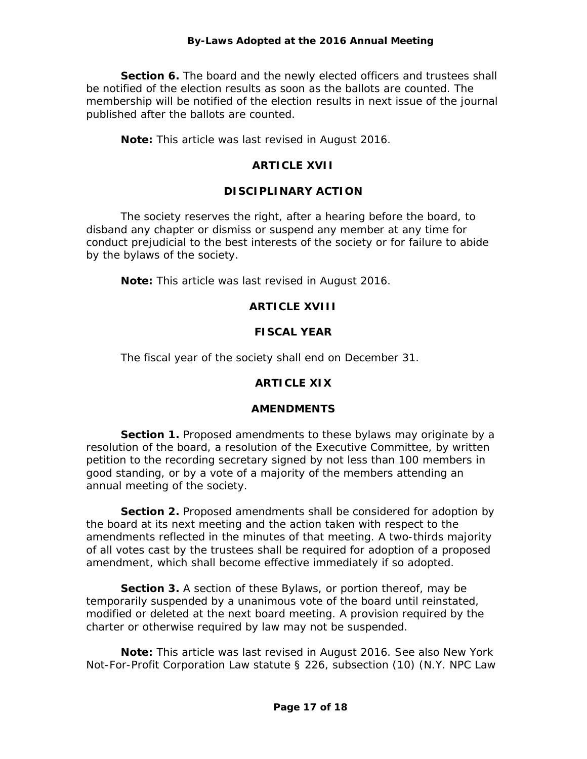**Section 6.** The board and the newly elected officers and trustees shall be notified of the election results as soon as the ballots are counted. The membership will be notified of the election results in next issue of the journal published after the ballots are counted.

**Note:** This article was last revised in August 2016.

# **ARTICLE XVII**

## **DISCIPLINARY ACTION**

The society reserves the right, after a hearing before the board, to disband any chapter or dismiss or suspend any member at any time for conduct prejudicial to the best interests of the society or for failure to abide by the bylaws of the society.

**Note:** This article was last revised in August 2016.

## **ARTICLE XVIII**

## **FISCAL YEAR**

The fiscal year of the society shall end on December 31.

## **ARTICLE XIX**

### **AMENDMENTS**

**Section 1.** Proposed amendments to these bylaws may originate by a resolution of the board, a resolution of the Executive Committee, by written petition to the recording secretary signed by not less than 100 members in good standing, or by a vote of a majority of the members attending an annual meeting of the society.

**Section 2.** Proposed amendments shall be considered for adoption by the board at its next meeting and the action taken with respect to the amendments reflected in the minutes of that meeting. A two-thirds majority of all votes cast by the trustees shall be required for adoption of a proposed amendment, which shall become effective immediately if so adopted.

**Section 3.** A section of these Bylaws, or portion thereof, may be temporarily suspended by a unanimous vote of the board until reinstated, modified or deleted at the next board meeting. A provision required by the charter or otherwise required by law may not be suspended.

**Note:** This article was last revised in August 2016. See also New York Not-For-Profit Corporation Law statute § 226, subsection (10) (N.Y. NPC Law